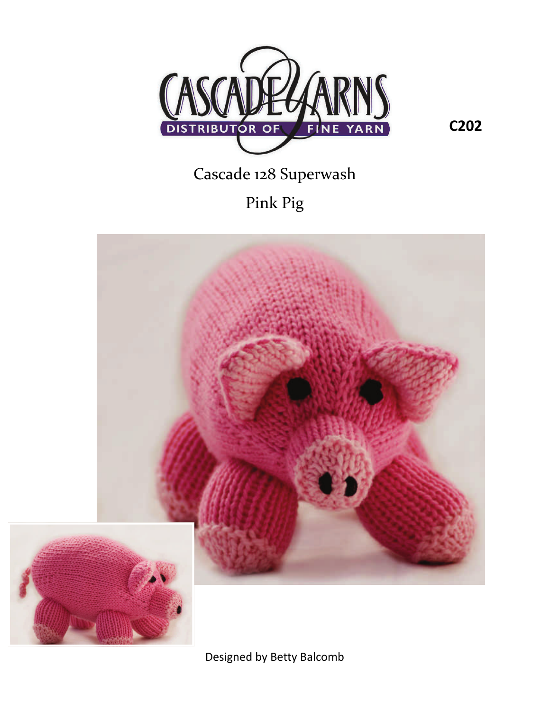

**C202**

## Cascade 128 Superwash

Pink Pig



Designed by Betty Balcomb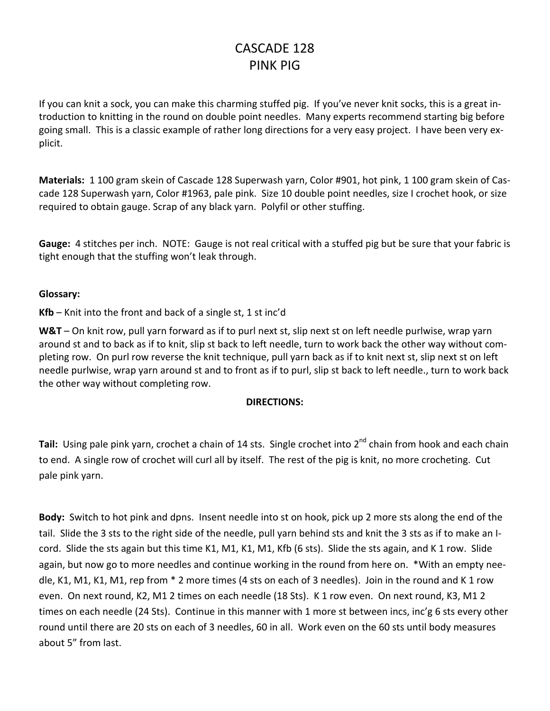## CASCADE 128 PINK PIG

If you can knit a sock, you can make this charming stuffed pig. If you've never knit socks, this is a great in‐ troduction to knitting in the round on double point needles. Many experts recommend starting big before going small. This is a classic example of rather long directions for a very easy project. I have been very ex‐ plicit.

**Materials:** 1 100 gram skein of Cascade 128 Superwash yarn, Color #901, hot pink, 1 100 gram skein of Cas‐ cade 128 Superwash yarn, Color #1963, pale pink. Size 10 double point needles, size I crochet hook, or size required to obtain gauge. Scrap of any black yarn. Polyfil or other stuffing.

**Gauge:** 4 stitches per inch. NOTE: Gauge is not real critical with a stuffed pig but be sure that your fabric is tight enough that the stuffing won't leak through.

## **Glossary:**

**Kfb** – Knit into the front and back of a single st, 1 st inc'd

**W&T** – On knit row, pull yarn forward as if to purl next st, slip next st on left needle purlwise, wrap yarn around st and to back as if to knit, slip st back to left needle, turn to work back the other way without com‐ pleting row. On purl row reverse the knit technique, pull yarn back as if to knit next st, slip next st on left needle purlwise, wrap yarn around st and to front as if to purl, slip st back to left needle., turn to work back the other way without completing row.

## **DIRECTIONS:**

Tail: Using pale pink yarn, crochet a chain of 14 sts. Single crochet into 2<sup>nd</sup> chain from hook and each chain to end. A single row of crochet will curl all by itself. The rest of the pig is knit, no more crocheting. Cut pale pink yarn.

**Body:** Switch to hot pink and dpns. Insent needle into st on hook, pick up 2 more sts along the end of the tail. Slide the 3 sts to the right side of the needle, pull yarn behind sts and knit the 3 sts as if to make an I‐ cord. Slide the sts again but this time K1, M1, K1, M1, Kfb (6 sts). Slide the sts again, and K 1 row. Slide again, but now go to more needles and continue working in the round from here on. \*With an empty nee‐ dle, K1, M1, K1, M1, rep from \* 2 more times (4 sts on each of 3 needles). Join in the round and K 1 row even. On next round, K2, M1 2 times on each needle (18 Sts). K 1 row even. On next round, K3, M1 2 times on each needle (24 Sts). Continue in this manner with 1 more st between incs, inc'g 6 sts every other round until there are 20 sts on each of 3 needles, 60 in all. Work even on the 60 sts until body measures about 5" from last.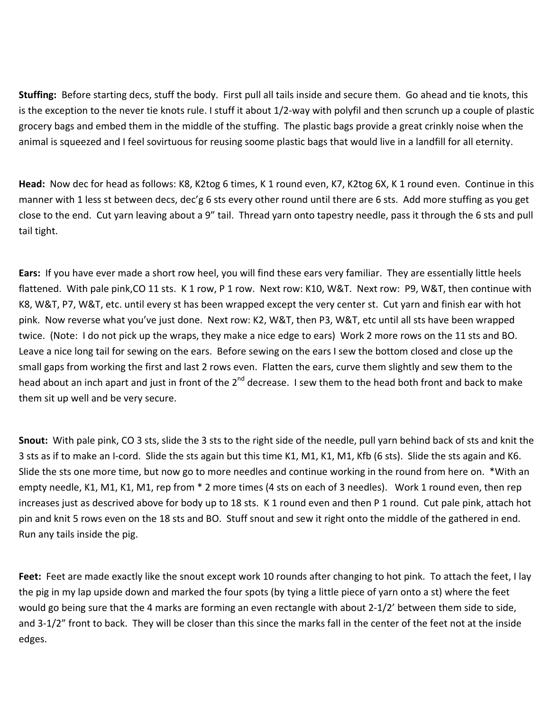**Stuffing:** Before starting decs, stuff the body. First pull all tails inside and secure them. Go ahead and tie knots, this is the exception to the never tie knots rule. I stuff it about 1/2‐way with polyfil and then scrunch up a couple of plastic grocery bags and embed them in the middle of the stuffing. The plastic bags provide a great crinkly noise when the animal is squeezed and I feel sovirtuous for reusing soome plastic bags that would live in a landfill for all eternity.

**Head:** Now dec for head as follows: K8, K2tog 6 times, K 1 round even, K7, K2tog 6X, K 1 round even. Continue in this manner with 1 less st between decs, dec'g 6 sts every other round until there are 6 sts. Add more stuffing as you get close to the end. Cut yarn leaving about a 9" tail. Thread yarn onto tapestry needle, pass it through the 6 sts and pull tail tight.

**Ears:** If you have ever made a short row heel, you will find these ears very familiar. They are essentially little heels flattened. With pale pink,CO 11 sts. K 1 row, P 1 row. Next row: K10, W&T. Next row: P9, W&T, then continue with K8, W&T, P7, W&T, etc. until every st has been wrapped except the very center st. Cut yarn and finish ear with hot pink. Now reverse what you've just done. Next row: K2, W&T, then P3, W&T, etc until all sts have been wrapped twice. (Note: I do not pick up the wraps, they make a nice edge to ears) Work 2 more rows on the 11 sts and BO. Leave a nice long tail for sewing on the ears. Before sewing on the ears I sew the bottom closed and close up the small gaps from working the first and last 2 rows even. Flatten the ears, curve them slightly and sew them to the head about an inch apart and just in front of the 2<sup>nd</sup> decrease. I sew them to the head both front and back to make them sit up well and be very secure.

**Snout:** With pale pink, CO 3 sts, slide the 3 sts to the right side of the needle, pull yarn behind back of sts and knit the 3 sts as if to make an I‐cord. Slide the sts again but this time K1, M1, K1, M1, Kfb (6 sts). Slide the sts again and K6. Slide the sts one more time, but now go to more needles and continue working in the round from here on. \*With an empty needle, K1, M1, K1, M1, rep from \* 2 more times (4 sts on each of 3 needles). Work 1 round even, then rep increases just as descrived above for body up to 18 sts. K 1 round even and then P 1 round. Cut pale pink, attach hot pin and knit 5 rows even on the 18 sts and BO. Stuff snout and sew it right onto the middle of the gathered in end. Run any tails inside the pig.

**Feet:** Feet are made exactly like the snout except work 10 rounds after changing to hot pink. To attach the feet, I lay the pig in my lap upside down and marked the four spots (by tying a little piece of yarn onto a st) where the feet would go being sure that the 4 marks are forming an even rectangle with about 2-1/2' between them side to side, and 3-1/2" front to back. They will be closer than this since the marks fall in the center of the feet not at the inside edges.